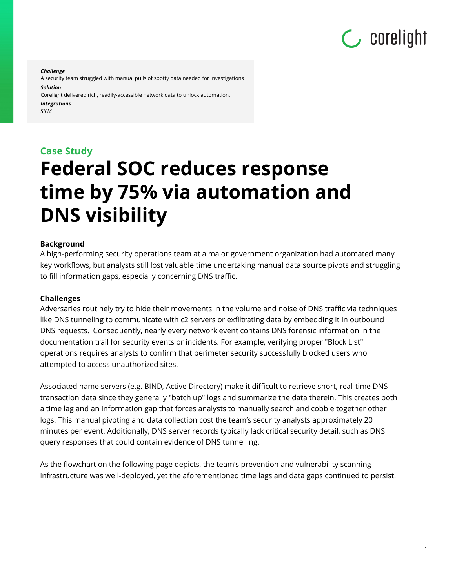

1

*Challenge*

A security team struggled with manual pulls of spotty data needed for investigations *Solution*

Corelight delivered rich, readily-accessible network data to unlock automation. *Integrations*

*SIEM*

## **Case Study Federal SOC reduces response time by 75% via automation and DNS visibility**

#### **Background**

A high-performing security operations team at a major government organization had automated many key workflows, but analysts still lost valuable time undertaking manual data source pivots and struggling to fill information gaps, especially concerning DNS traffic.

#### **Challenges**

Adversaries routinely try to hide their movements in the volume and noise of DNS traffic via techniques like DNS tunneling to communicate with c2 servers or exfiltrating data by embedding it in outbound DNS requests. Consequently, nearly every network event contains DNS forensic information in the documentation trail for security events or incidents. For example, verifying proper "Block List" operations requires analysts to confirm that perimeter security successfully blocked users who attempted to access unauthorized sites.

Associated name servers (e.g. BIND, Active Directory) make it difficult to retrieve short, real-time DNS transaction data since they generally "batch up" logs and summarize the data therein. This creates both a time lag and an information gap that forces analysts to manually search and cobble together other logs. This manual pivoting and data collection cost the team's security analysts approximately 20 minutes per event. Additionally, DNS server records typically lack critical security detail, such as DNS query responses that could contain evidence of DNS tunnelling.

As the flowchart on the following page depicts, the team's prevention and vulnerability scanning infrastructure was well-deployed, yet the aforementioned time lags and data gaps continued to persist.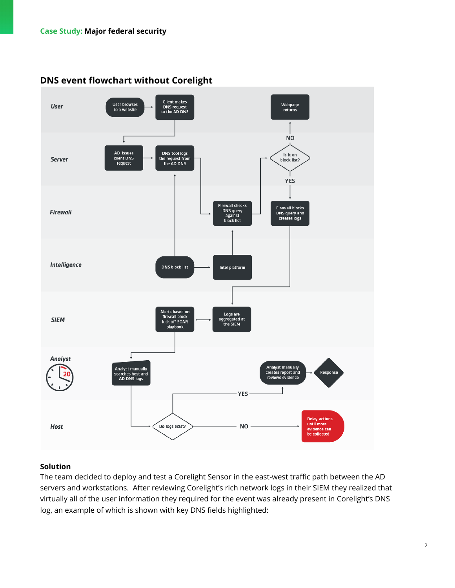

### **DNS event flowchart without Corelight**

#### **Solution**

The team decided to deploy and test a Corelight Sensor in the east-west traffic path between the AD servers and workstations. After reviewing Corelight's rich network logs in their SIEM they realized that virtually all of the user information they required for the event was already present in Corelight's DNS log, an example of which is shown with key DNS fields highlighted: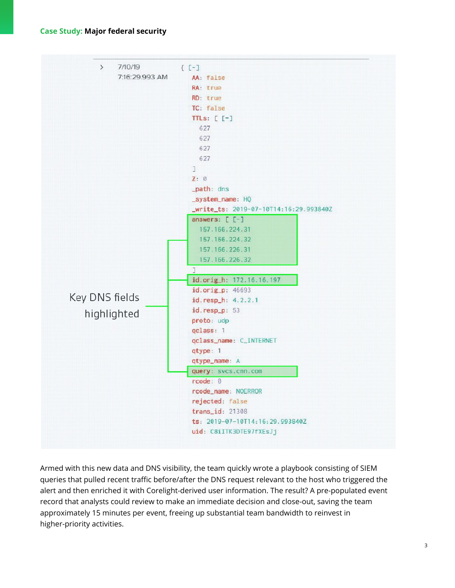#### **Case Study: Major federal security**



Armed with this new data and DNS visibility, the team quickly wrote a playbook consisting of SIEM queries that pulled recent traffic before/after the DNS request relevant to the host who triggered the alert and then enriched it with Corelight-derived user information. The result? A pre-populated event record that analysts could review to make an immediate decision and close-out, saving the team approximately 15 minutes per event, freeing up substantial team bandwidth to reinvest in higher-priority activities.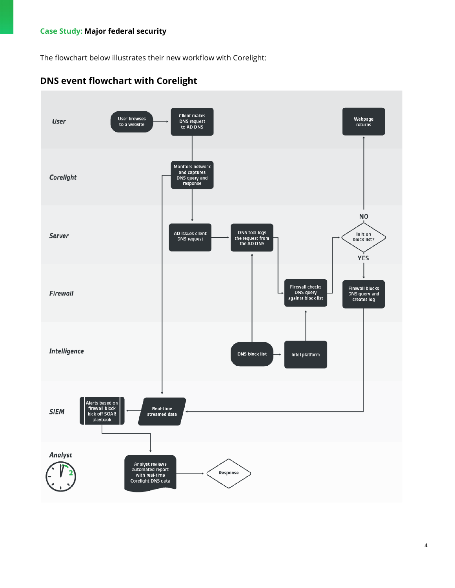#### **Case Study: Major federal security**

The flowchart below illustrates their new workflow with Corelight: